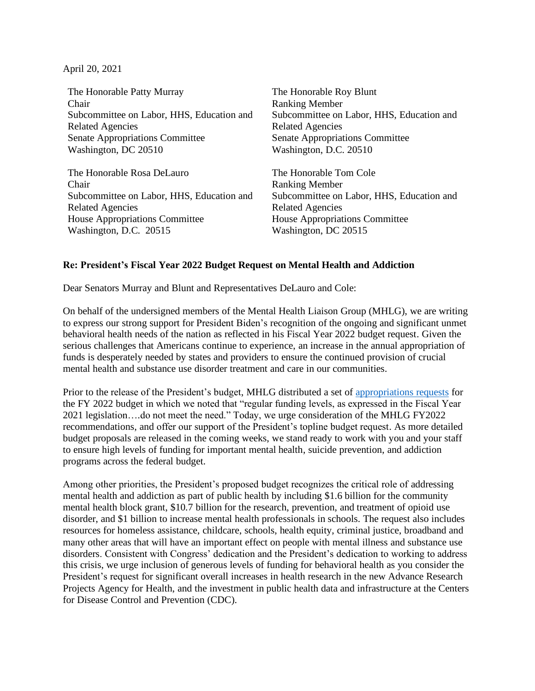April 20, 2021

The Honorable Patty Murray Chair Subcommittee on Labor, HHS, Education and Related Agencies Senate Appropriations Committee Washington, DC 20510 The Honorable Roy Blunt Ranking Member Subcommittee on Labor, HHS, Education and Related Agencies Senate Appropriations Committee Washington, D.C. 20510 The Honorable Rosa DeLauro Chair Subcommittee on Labor, HHS, Education and Related Agencies House Appropriations Committee Washington, D.C. 20515 The Honorable Tom Cole Ranking Member Subcommittee on Labor, HHS, Education and Related Agencies House Appropriations Committee Washington, DC 20515

## **Re: President's Fiscal Year 2022 Budget Request on Mental Health and Addiction**

Dear Senators Murray and Blunt and Representatives DeLauro and Cole:

On behalf of the undersigned members of the Mental Health Liaison Group (MHLG), we are writing to express our strong support for President Biden's recognition of the ongoing and significant unmet behavioral health needs of the nation as reflected in his Fiscal Year 2022 budget request. Given the serious challenges that Americans continue to experience, an increase in the annual appropriation of funds is desperately needed by states and providers to ensure the continued provision of crucial mental health and substance use disorder treatment and care in our communities.

Prior to the release of the President's budget, MHLG distributed a set o[f appropriations requests](https://www.mhlg.org/wordpress/wp-content/uploads/2021/04/MHLG-FY2022-Approps-Request-Final-4.7.21.pdf) for the FY 2022 budget in which we noted that "regular funding levels, as expressed in the Fiscal Year 2021 legislation….do not meet the need." Today, we urge consideration of the MHLG FY2022 recommendations, and offer our support of the President's topline budget request. As more detailed budget proposals are released in the coming weeks, we stand ready to work with you and your staff to ensure high levels of funding for important mental health, suicide prevention, and addiction programs across the federal budget.

Among other priorities, the President's proposed budget recognizes the critical role of addressing mental health and addiction as part of public health by including \$1.6 billion for the community mental health block grant, \$10.7 billion for the research, prevention, and treatment of opioid use disorder, and \$1 billion to increase mental health professionals in schools. The request also includes resources for homeless assistance, childcare, schools, health equity, criminal justice, broadband and many other areas that will have an important effect on people with mental illness and substance use disorders. Consistent with Congress' dedication and the President's dedication to working to address this crisis, we urge inclusion of generous levels of funding for behavioral health as you consider the President's request for significant overall increases in health research in the new Advance Research Projects Agency for Health, and the investment in public health data and infrastructure at the Centers for Disease Control and Prevention (CDC).